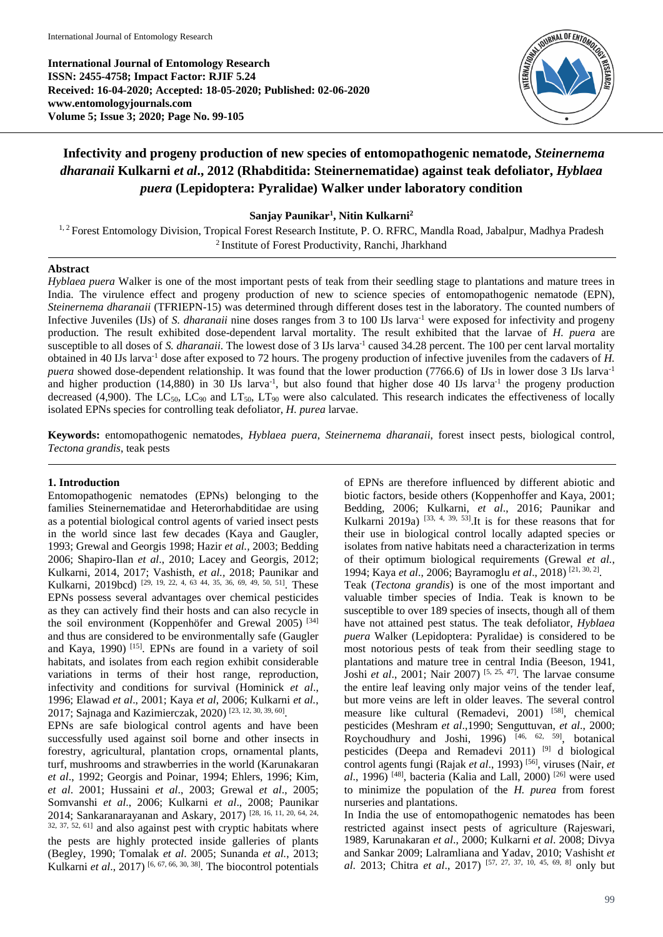**International Journal of Entomology Research ISSN: 2455-4758; Impact Factor: RJIF 5.24 Received: 16-04-2020; Accepted: 18-05-2020; Published: 02-06-2020 www.entomologyjournals.com Volume 5; Issue 3; 2020; Page No. 99-105**



# **Infectivity and progeny production of new species of entomopathogenic nematode,** *Steinernema dharanaii* **Kulkarni** *et al***., 2012 (Rhabditida: Steinernematidae) against teak defoliator,** *Hyblaea puera* **(Lepidoptera: Pyralidae) Walker under laboratory condition**

**Sanjay Paunikar<sup>1</sup> , Nitin Kulkarni<sup>2</sup>**

<sup>1, 2</sup> Forest Entomology Division, Tropical Forest Research Institute, P. O. RFRC, Mandla Road, Jabalpur, Madhya Pradesh <sup>2</sup> Institute of Forest Productivity, Ranchi, Jharkhand

# **Abstract**

*Hyblaea puera* Walker is one of the most important pests of teak from their seedling stage to plantations and mature trees in India. The virulence effect and progeny production of new to science species of entomopathogenic nematode (EPN), *Steinernema dharanaii* (TFRIEPN-15) was determined through different doses test in the laboratory. The counted numbers of Infective Juveniles (IJs) of *S. dharanaii* nine doses ranges from 3 to 100 IJs larva-1 were exposed for infectivity and progeny production. The result exhibited dose-dependent larval mortality. The result exhibited that the larvae of *H. puera* are susceptible to all doses of *S. dharanaii*. The lowest dose of 3 IJs larva<sup>-1</sup> caused 34.28 percent. The 100 per cent larval mortality obtained in 40 IJs larva-1 dose after exposed to 72 hours. The progeny production of infective juveniles from the cadavers of *H. puera* showed dose-dependent relationship. It was found that the lower production (7766.6) of IJs in lower dose 3 IJs larva<sup>-1</sup> and higher production  $(14,880)$  in 30 IJs larva<sup>-1</sup>, but also found that higher dose 40 IJs larva<sup>-1</sup> the progeny production decreased (4,900). The LC<sub>50</sub>, LC<sub>90</sub> and LT<sub>50</sub>, LT<sub>90</sub> were also calculated. This research indicates the effectiveness of locally isolated EPNs species for controlling teak defoliator, *H. purea* larvae.

**Keywords:** entomopathogenic nematodes, *Hyblaea puera*, *Steinernema dharanaii*, forest insect pests, biological control, *Tectona grandis*, teak pests

# **1. Introduction**

Entomopathogenic nematodes (EPNs) belonging to the families Steinernematidae and Heterorhabditidae are using as a potential biological control agents of varied insect pests in the world since last few decades (Kaya and Gaugler, 1993; Grewal and Georgis 1998; Hazir *et al.,* 2003; Bedding 2006; Shapiro-Ilan *et al*., 2010; Lacey and Georgis, 2012; Kulkarni, 2014, 2017; Vashisth, *et al.,* 2018; Paunikar and Kulkarni, 2019bcd)<sup>[29, 19, 22, 4, 63 44, 35, 36, 69, 49, 50, 51]</sup>. These EPNs possess several advantages over chemical pesticides as they can actively find their hosts and can also recycle in the soil environment (Koppenhöfer and Grewal 2005)<sup>[34]</sup> and thus are considered to be environmentally safe (Gaugler and Kaya, 1990)<sup>[15]</sup>. EPNs are found in a variety of soil habitats, and isolates from each region exhibit considerable variations in terms of their host range, reproduction, infectivity and conditions for survival (Hominick *et al*., 1996; Elawad *et al*., 2001; Kaya *et al*, 2006; Kulkarni *et al.*, 2017; Sajnaga and Kazimierczak, 2020)<sup>[23, 12, 30, 39, 60]</sup>.

EPNs are safe biological control agents and have been successfully used against soil borne and other insects in forestry, agricultural, plantation crops, ornamental plants, turf, mushrooms and strawberries in the world (Karunakaran *et al*., 1992; Georgis and Poinar, 1994; Ehlers, 1996; Kim, *et al*. 2001; Hussaini *et al*., 2003; Grewal *et al*., 2005; Somvanshi *et al*., 2006; Kulkarni *et al*., 2008; Paunikar 2014; Sankaranarayanan and Askary, 2017) [28, 16, 11, 20, 64, 24, 32, 37, 52, 61] and also against pest with cryptic habitats where the pests are highly protected inside galleries of plants (Begley, 1990; Tomalak *et al*. 2005; Sunanda *et al.*, 2013; Kulkarni *et al*., 2017) [6, 67, 66, 30, 38] . The biocontrol potentials

of EPNs are therefore influenced by different abiotic and biotic factors, beside others (Koppenhoffer and Kaya, 2001; Bedding, 2006; Kulkarni, *et al*., 2016; Paunikar and Kulkarni 2019a)  $[33, 4, 39, 53]$ . It is for these reasons that for their use in biological control locally adapted species or isolates from native habitats need a characterization in terms of their optimum biological requirements (Grewal *et al.*, 1994; Kaya *et al*., 2006; Bayramoglu *et al*., 2018) [21, 30, 2] .

Teak (*Tectona grandis*) is one of the most important and valuable timber species of India. Teak is known to be susceptible to over 189 species of insects, though all of them have not attained pest status. The teak defoliator, *Hyblaea puera* Walker (Lepidoptera: Pyralidae) is considered to be most notorious pests of teak from their seedling stage to plantations and mature tree in central India (Beeson, 1941, Joshi *et al*., 2001; Nair 2007) [5, 25, 47] . The larvae consume the entire leaf leaving only major veins of the tender leaf, but more veins are left in older leaves. The several control measure like cultural (Remadevi, 2001) [58], chemical pesticides (Meshram *et al*.,1990; Senguttuvan, *et al*., 2000; Roychoudhury and Joshi, 1996)<sup>[46, 62, 59]</sup>, botanical pesticides (Deepa and Remadevi 2011) [9] d biological control agents fungi (Rajak *et al*., 1993) [56] , viruses (Nair, *et*   $al$ , 1996)<sup>[48]</sup>, bacteria (Kalia and Lall, 2000)<sup>[26]</sup> were used to minimize the population of the *H. purea* from forest nurseries and plantations.

In India the use of entomopathogenic nematodes has been restricted against insect pests of agriculture (Rajeswari, 1989, Karunakaran *et al*., 2000; Kulkarni *et al*. 2008; Divya and Sankar 2009; Lalramliana and Yadav, 2010; Vashisht *et al*. 2013; Chitra *et al*., 2017) [57, 27, 37, 10, 45, 69, 8] only but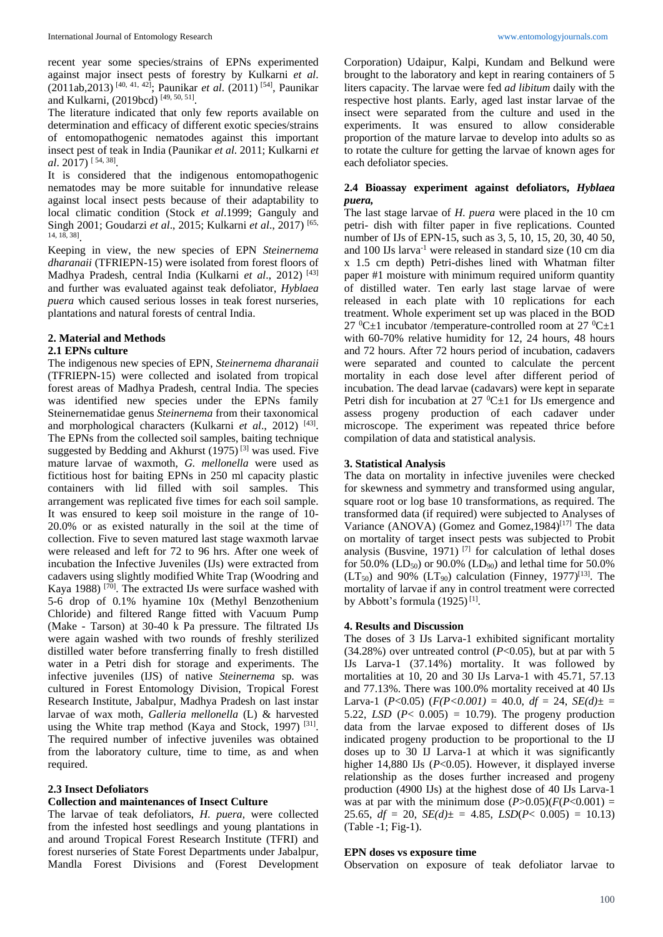recent year some species/strains of EPNs experimented against major insect pests of forestry by Kulkarni *et al*. (2011ab,2013) [40, 41, 42] ; Paunikar *et al*. (2011) [54] , Paunikar and Kulkarni, (2019bcd)<sup>[49, 50, 51]</sup>.

The literature indicated that only few reports available on determination and efficacy of different exotic species/strains of entomopathogenic nematodes against this important insect pest of teak in India (Paunikar *et al*. 2011; Kulkarni *et al*. 2017) [ 54, 38] .

It is considered that the indigenous entomopathogenic nematodes may be more suitable for innundative release against local insect pests because of their adaptability to local climatic condition (Stock *et al*.1999; Ganguly and Singh 2001; Goudarzi *et al*., 2015; Kulkarni *et al*., 2017) [65, 14, 18, 38] .

Keeping in view, the new species of EPN *Steinernema dharanaii* (TFRIEPN-15) were isolated from forest floors of Madhya Pradesh, central India (Kulkarni *et al*., 2012) [43] and further was evaluated against teak defoliator, *Hyblaea puera* which caused serious losses in teak forest nurseries, plantations and natural forests of central India.

# **2. Material and Methods**

# **2.1 EPNs culture**

The indigenous new species of EPN, *Steinernema dharanaii* (TFRIEPN-15) were collected and isolated from tropical forest areas of Madhya Pradesh, central India. The species was identified new species under the EPNs family Steinernematidae genus *Steinernema* from their taxonomical and morphological characters (Kulkarni *et al.*, 2012)<sup>[43]</sup>. The EPNs from the collected soil samples, baiting technique suggested by Bedding and Akhurst  $(1975)^{[3]}$  was used. Five mature larvae of waxmoth, *G. mellonella* were used as fictitious host for baiting EPNs in 250 ml capacity plastic containers with lid filled with soil samples. This arrangement was replicated five times for each soil sample. It was ensured to keep soil moisture in the range of 10- 20.0% or as existed naturally in the soil at the time of collection. Five to seven matured last stage waxmoth larvae were released and left for 72 to 96 hrs. After one week of incubation the Infective Juveniles (IJs) were extracted from cadavers using slightly modified White Trap (Woodring and Kaya 1988)<sup>[70]</sup>. The extracted IJs were surface washed with 5-6 drop of 0.1% hyamine 10x (Methyl Benzothenium Chloride) and filtered Range fitted with Vacuum Pump (Make - Tarson) at 30-40 k Pa pressure. The filtrated IJs were again washed with two rounds of freshly sterilized distilled water before transferring finally to fresh distilled water in a Petri dish for storage and experiments. The infective juveniles (IJS) of native *Steinernema* sp*.* was cultured in Forest Entomology Division, Tropical Forest Research Institute, Jabalpur, Madhya Pradesh on last instar larvae of wax moth, *Galleria mellonella* (L) & harvested using the White trap method (Kaya and Stock, 1997)<sup>[31]</sup>. The required number of infective juveniles was obtained from the laboratory culture, time to time, as and when required.

# **2.3 Insect Defoliators**

### **Collection and maintenances of Insect Culture**

The larvae of teak defoliators, *H. puera,* were collected from the infested host seedlings and young plantations in and around Tropical Forest Research Institute (TFRI) and forest nurseries of State Forest Departments under Jabalpur, Mandla Forest Divisions and (Forest Development

Corporation) Udaipur, Kalpi, Kundam and Belkund were brought to the laboratory and kept in rearing containers of 5 liters capacity. The larvae were fed *ad libitum* daily with the respective host plants. Early, aged last instar larvae of the insect were separated from the culture and used in the experiments. It was ensured to allow considerable proportion of the mature larvae to develop into adults so as to rotate the culture for getting the larvae of known ages for each defoliator species.

## **2.4 Bioassay experiment against defoliators,** *Hyblaea puera,*

The last stage larvae of *H. puera* were placed in the 10 cm petri- dish with filter paper in five replications. Counted number of IJs of EPN-15, such as 3, 5, 10, 15, 20, 30, 40 50, and 100 IJs larva-1 were released in standard size (10 cm dia x 1.5 cm depth) Petri-dishes lined with Whatman filter paper #1 moisture with minimum required uniform quantity of distilled water. Ten early last stage larvae of were released in each plate with 10 replications for each treatment. Whole experiment set up was placed in the BOD 27  $^0C\pm1$  incubator /temperature-controlled room at 27  $^0C\pm1$ with 60-70% relative humidity for 12, 24 hours, 48 hours and 72 hours. After 72 hours period of incubation, cadavers were separated and counted to calculate the percent mortality in each dose level after different period of incubation. The dead larvae (cadavars) were kept in separate Petri dish for incubation at  $27 \text{ }^0C \pm 1$  for IJs emergence and assess progeny production of each cadaver under microscope. The experiment was repeated thrice before compilation of data and statistical analysis.

#### **3. Statistical Analysis**

The data on mortality in infective juveniles were checked for skewness and symmetry and transformed using angular, square root or log base 10 transformations, as required. The transformed data (if required) were subjected to Analyses of Variance (ANOVA) (Gomez and Gomez, 1984)<sup>[17]</sup> The data on mortality of target insect pests was subjected to Probit analysis (Busvine, 1971)<sup>[7]</sup> for calculation of lethal doses for 50.0% (LD<sub>50</sub>) or 90.0% (LD<sub>90</sub>) and lethal time for 50.0%  $(LT<sub>50</sub>)$  and 90%  $(LT<sub>90</sub>)$  calculation (Finney, 1977)<sup>[13]</sup>. The mortality of larvae if any in control treatment were corrected by Abbott's formula  $(1925)^{[1]}$ .

### **4. Results and Discussion**

The doses of 3 IJs Larva-1 exhibited significant mortality (34.28%) over untreated control (*P*<0.05), but at par with 5 IJs Larva-1 (37.14%) mortality. It was followed by mortalities at 10, 20 and 30 IJs Larva-1 with 45.71, 57.13 and 77.13%. There was 100.0% mortality received at 40 IJs Larva-1 ( $P < 0.05$ ) ( $F(P < 0.001) = 40.0$ ,  $df = 24$ ,  $SE(d) \pm$ 5.22, *LSD*  $(P < 0.005) = 10.79$ . The progeny production data from the larvae exposed to different doses of IJs indicated progeny production to be proportional to the IJ doses up to 30 IJ Larva-1 at which it was significantly higher 14,880 IJs (*P*<0.05). However, it displayed inverse relationship as the doses further increased and progeny production (4900 IJs) at the highest dose of 40 IJs Larva-1 was at par with the minimum dose  $(P>0.05)$  $(F(P<0.001)$  = 25.65,  $df = 20$ ,  $SE(d) = 4.85$ ,  $LSD(P < 0.005) = 10.13$ (Table -1; Fig-1).

#### **EPN doses vs exposure time**

Observation on exposure of teak defoliator larvae to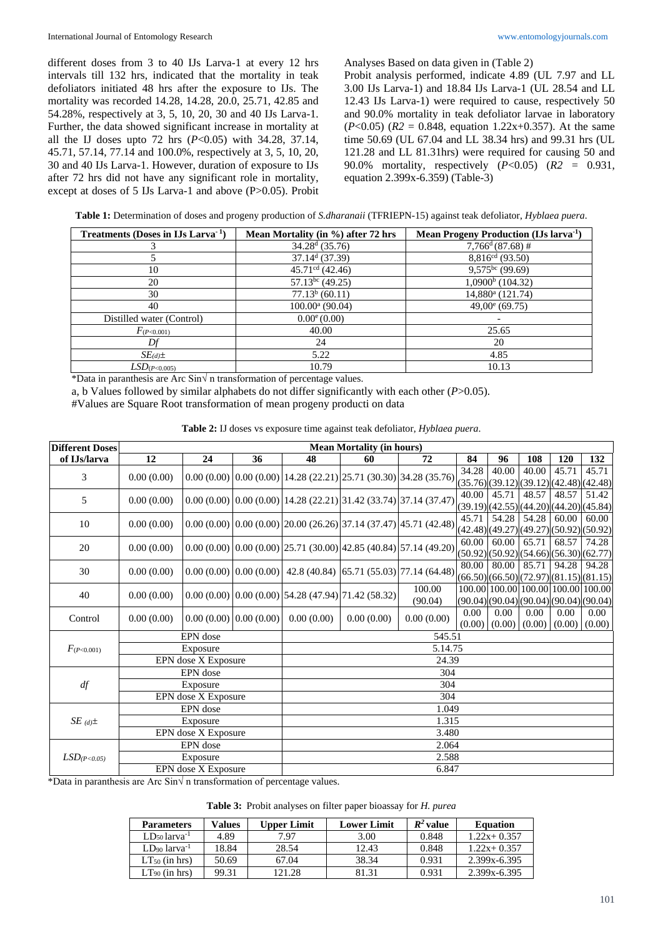different doses from 3 to 40 IJs Larva-1 at every 12 hrs intervals till 132 hrs, indicated that the mortality in teak defoliators initiated 48 hrs after the exposure to IJs. The mortality was recorded 14.28, 14.28, 20.0, 25.71, 42.85 and 54.28%, respectively at 3, 5, 10, 20, 30 and 40 IJs Larva-1. Further, the data showed significant increase in mortality at all the IJ doses upto 72 hrs (*P*<0.05) with 34.28, 37.14, 45.71, 57.14, 77.14 and 100.0%, respectively at 3, 5, 10, 20, 30 and 40 IJs Larva-1. However, duration of exposure to IJs after 72 hrs did not have any significant role in mortality, except at doses of 5 IJs Larva-1 and above (P>0.05). Probit

Analyses Based on data given in (Table 2)

Probit analysis performed, indicate 4.89 (UL 7.97 and LL 3.00 IJs Larva-1) and 18.84 IJs Larva-1 (UL 28.54 and LL 12.43 IJs Larva-1) were required to cause, respectively 50 and 90.0% mortality in teak defoliator larvae in laboratory (*P*<0.05) (*R2* = 0.848, equation 1.22x+0.357). At the same time 50.69 (UL 67.04 and LL 38.34 hrs) and 99.31 hrs (UL 121.28 and LL 81.31hrs) were required for causing 50 and 90.0% mortality, respectively (*P*<0.05) (*R2* = 0.931, equation 2.399x-6.359) (Table-3)

| Treatments (Doses in IJs Larva <sup>-1</sup> ) | Mean Mortality (in %) after 72 hrs | Mean Progeny Production (IJs larva <sup>-1</sup> ) |
|------------------------------------------------|------------------------------------|----------------------------------------------------|
|                                                | $34.28d$ (35.76)                   | $7,766^{\mathrm{d}}(87.68)$ #                      |
|                                                | $37.14d$ (37.39)                   | $8,816^{cd}$ (93.50)                               |
| 10                                             | $45.71cd$ (42.46)                  | $\overline{9,575^{bc}}(99.69)$                     |
| 20                                             | $57.13^{bc}$ (49.25)               | $1,0900b$ (104.32)                                 |
| 30                                             | $77.13b$ (60.11)                   | 14,880 <sup>a</sup> (121.74)                       |
| 40                                             | $100.00^a$ (90.04)                 | $49,00^e$ (69.75)                                  |
| Distilled water (Control)                      | $0.00^{\circ}$ (0.00)              |                                                    |
| $F_{(P<0.001)}$                                | 40.00                              | 25.65                                              |
| Df                                             | 24                                 | 20                                                 |
| $SE_{(d)}\pm$                                  | 5.22                               | 4.85                                               |
| LSD <sub>(P&lt;0.005)</sub>                    | 10.79                              | 10.13                                              |

\*Data in paranthesis are Arc Sin√ n transformation of percentage values.

a, b Values followed by similar alphabets do not differ significantly with each other (*P*>0.05).

#Values are Square Root transformation of mean progeny producti on data

| Table 2: IJ doses vs exposure time against teak defoliator, Hyblaea puera. |  |  |  |
|----------------------------------------------------------------------------|--|--|--|
|----------------------------------------------------------------------------|--|--|--|

| <b>Different Doses</b>     | <b>Mean Mortality (in hours)</b> |                           |    |            |                                                         |                                                                       |                |             |       |                                    |                                                                                                   |  |
|----------------------------|----------------------------------|---------------------------|----|------------|---------------------------------------------------------|-----------------------------------------------------------------------|----------------|-------------|-------|------------------------------------|---------------------------------------------------------------------------------------------------|--|
| of IJs/larva               | 12                               | 24                        | 36 | 48         | 60                                                      | 72                                                                    | 84             | 96          | 108   | 120                                | 132                                                                                               |  |
| 3                          | 0.00(0.00)                       |                           |    |            |                                                         | $0.00(0.00)$ $0.00(0.00)$ 14.28 (22.21) 25.71 (30.30) 34.28 (35.76)   | 34.28          | 40.00       | 40.00 | 45.71                              | 45.71<br>(35.76)(39.12)(39.12)(42.48)(42.48)                                                      |  |
| 5                          | 0.00(0.00)                       |                           |    |            |                                                         | $0.00(0.00)$ $0.00(0.00)$ 14.28 (22.21) 31.42 (33.74) 37.14 (37.47)   | 40.00          | 45.71       | 48.57 | 48.57                              | 51.42<br>(39.19)(42.55)(44.20)(44.20)(45.84)                                                      |  |
| 10                         | 0.00(0.00)                       |                           |    |            |                                                         | $[0.00 (0.00) 0.00 (0.00) 20.00 (26.26) 37.14 (37.47) 45.71 (42.48)$  | 45.71          | 54.28       | 54.28 | 60.00                              | 60.00<br>(42.48)(49.27)(49.27)(50.92)(50.92)                                                      |  |
| 20                         | 0.00(0.00)                       |                           |    |            |                                                         | $0.00(0.00)$ $0.00(0.00)$ $25.71(30.00)$ $42.85(40.84)$ 57.14 (49.20) | 60.00          | 60.00 65.71 |       | 68.57                              | 74.28<br>(50.92)(50.92)(54.66)(56.30)(62.77)                                                      |  |
| 30                         | 0.00(0.00)                       |                           |    |            |                                                         | $0.00(0.00)$ $0.00(0.00)$ 42.8 (40.84) 65.71 (55.03) 77.14 (64.48)    | 80.00          | 80.00       | 85.71 | 94.28                              | 94.28<br>(66.50)(66.50)(72.97)(81.15)(81.15)                                                      |  |
| 40                         | 0.00(0.00)                       |                           |    |            | $[0.00 (0.00) 0.00 (0.00) 54.28 (47.94) 71.42 (58.32)]$ | 100.00<br>(90.04)                                                     |                |             |       |                                    | 100.00 100.00 100.00 100.00 100.00<br>$(90.04)$ $(90.04)$ $(90.04)$ $(90.04)$ $(90.04)$ $(90.04)$ |  |
| Control                    | 0.00(0.00)                       | $0.00(0.00)$ $0.00(0.00)$ |    | 0.00(0.00) | 0.00(0.00)                                              | 0.00(0.00)                                                            | 0.00<br>(0.00) | 0.00        | 0.00  | 0.00<br>$(0.00)$ $(0.00)$ $(0.00)$ | 0.00<br>(0.00)                                                                                    |  |
|                            |                                  | EPN dose                  |    | 545.51     |                                                         |                                                                       |                |             |       |                                    |                                                                                                   |  |
| $F_{(P<0.001)}$            |                                  | Exposure                  |    | 5.14.75    |                                                         |                                                                       |                |             |       |                                    |                                                                                                   |  |
|                            |                                  | EPN dose X Exposure       |    | 24.39      |                                                         |                                                                       |                |             |       |                                    |                                                                                                   |  |
|                            | EPN dose                         |                           |    | 304        |                                                         |                                                                       |                |             |       |                                    |                                                                                                   |  |
| df                         | Exposure                         |                           |    | 304        |                                                         |                                                                       |                |             |       |                                    |                                                                                                   |  |
|                            |                                  | EPN dose X Exposure       |    | 304        |                                                         |                                                                       |                |             |       |                                    |                                                                                                   |  |
| $SE_{(d)}\pm$              | EPN dose                         |                           |    | 1.049      |                                                         |                                                                       |                |             |       |                                    |                                                                                                   |  |
|                            | Exposure                         |                           |    | 1.315      |                                                         |                                                                       |                |             |       |                                    |                                                                                                   |  |
|                            | EPN dose X Exposure              |                           |    | 3.480      |                                                         |                                                                       |                |             |       |                                    |                                                                                                   |  |
| LSD <sub>(P&lt;0.05)</sub> | EPN dose                         |                           |    | 2.064      |                                                         |                                                                       |                |             |       |                                    |                                                                                                   |  |
|                            | Exposure                         |                           |    | 2.588      |                                                         |                                                                       |                |             |       |                                    |                                                                                                   |  |
|                            | EPN dose X Exposure              |                           |    | 6.847      |                                                         |                                                                       |                |             |       |                                    |                                                                                                   |  |

\*Data in paranthesis are Arc Sin $\sqrt{ }$ n transformation of percentage values.

**Table 3:** Probit analyses on filter paper bioassay for *H. purea*

| <b>Parameters</b>             | Values | Upper Limit | <b>Lower Limit</b> | $R^2$ value | <b>Equation</b> |
|-------------------------------|--------|-------------|--------------------|-------------|-----------------|
| $LD_{50}$ larva <sup>-1</sup> | 4.89   | 7.97        | 3.00               | 0.848       | $1.22x + 0.357$ |
| $LD90$ larva <sup>-1</sup>    | 18.84  | 28.54       | 12.43              | 0.848       | $1.22x + 0.357$ |
| $LT_{50}$ (in hrs)            | 50.69  | 67.04       | 38.34              | 0.931       | 2.399x-6.395    |
| $LT_{90}$ (in hrs)            | 99.31  | 121.28      | 81.31              | 0.931       | 2.399x-6.395    |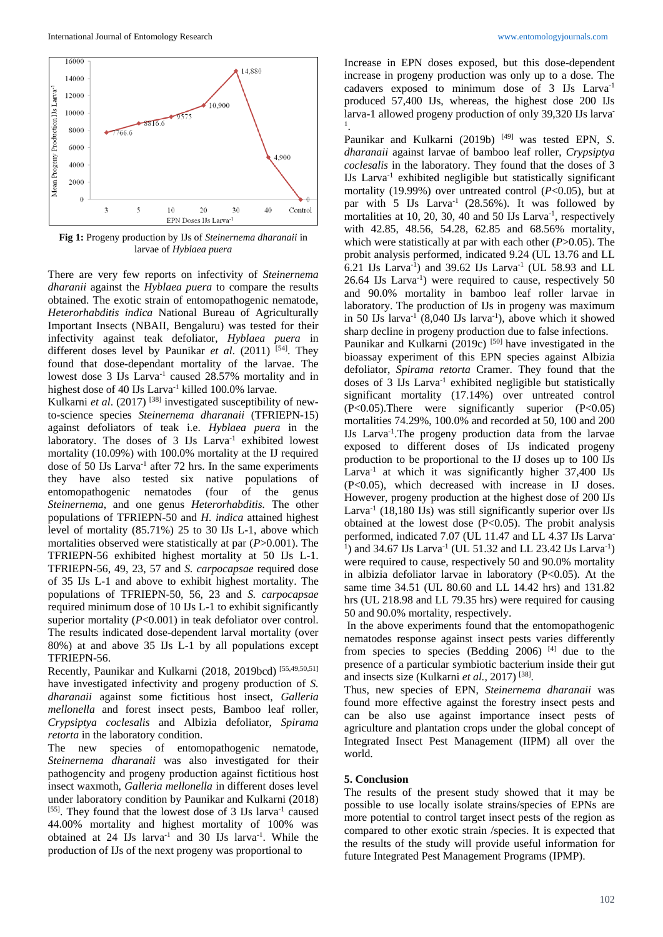

**Fig 1:** Progeny production by IJs of *Steinernema dharanaii* in larvae of *Hyblaea puera*

There are very few reports on infectivity of *Steinernema dharanii* against the *Hyblaea puera* to compare the results obtained. The exotic strain of entomopathogenic nematode, *Heterorhabditis indica* National Bureau of Agriculturally Important Insects (NBAII, Bengaluru) was tested for their infectivity against teak defoliator, *Hyblaea puera* in different doses level by Paunikar *et al.* (2011) <sup>[54]</sup>. They found that dose-dependant mortality of the larvae. The lowest dose 3 IJs Larva<sup>-1</sup> caused 28.57% mortality and in highest dose of 40 IJs Larva<sup>-1</sup> killed 100.0% larvae.

Kulkarni et al. (2017)<sup>[38]</sup> investigated susceptibility of newto-science species *Steinernema dharanaii* (TFRIEPN-15) against defoliators of teak i.e. *Hyblaea puera* in the laboratory. The doses of 3 IJs Larva<sup>-1</sup> exhibited lowest mortality (10.09%) with 100.0% mortality at the IJ required dose of 50 IJs Larva<sup>-1</sup> after 72 hrs. In the same experiments they have also tested six native populations of entomopathogenic nematodes (four of the genus *Steinernema*, and one genus *Heterorhabditis.* The other populations of TFRIEPN-50 and *H. indica* attained highest level of mortality (85.71%) 25 to 30 IJs L-1, above which mortalities observed were statistically at par (*P*>0.001). The TFRIEPN-56 exhibited highest mortality at 50 IJs L-1. TFRIEPN-56, 49, 23, 57 and *S. carpocapsae* required dose of 35 IJs L-1 and above to exhibit highest mortality. The populations of TFRIEPN-50, 56, 23 and *S. carpocapsae*  required minimum dose of 10 IJs L-1 to exhibit significantly superior mortality (*P*<0.001) in teak defoliator over control. The results indicated dose-dependent larval mortality (over 80%) at and above 35 IJs L-1 by all populations except TFRIEPN-56.

Recently, Paunikar and Kulkarni (2018, 2019bcd)<sup>[55,49,50,51]</sup> have investigated infectivity and progeny production of *S. dharanaii* against some fictitious host insect, *Galleria mellonella* and forest insect pests, Bamboo leaf roller, *Crypsiptya coclesalis* and Albizia defoliator, *Spirama retorta* in the laboratory condition.

The new species of entomopathogenic nematode, *Steinernema dharanaii* was also investigated for their pathogencity and progeny production against fictitious host insect waxmoth, *Galleria mellonella* in different doses level under laboratory condition by Paunikar and Kulkarni (2018) [55]. They found that the lowest dose of 3 IJs larva<sup>-1</sup> caused 44.00% mortality and highest mortality of 100% was obtained at 24 IJs larva-1 and 30 IJs larva-1 . While the production of IJs of the next progeny was proportional to

Increase in EPN doses exposed, but this dose-dependent increase in progeny production was only up to a dose. The cadavers exposed to minimum dose of 3 IJs Larva-1 produced 57,400 IJs, whereas, the highest dose 200 IJs larva-1 allowed progeny production of only 39,320 IJs larva-1 .

Paunikar and Kulkarni (2019b) [49] was tested EPN, *S*. *dharanaii* against larvae of bamboo leaf roller, *Crypsiptya coclesalis* in the laboratory. They found that the doses of 3 IJs Larva-1 exhibited negligible but statistically significant mortality (19.99%) over untreated control (*P*<0.05), but at par with  $5$  IJs Larva<sup>-1</sup> (28.56%). It was followed by mortalities at 10, 20, 30, 40 and 50 IJs Larva<sup>-1</sup>, respectively with 42.85, 48.56, 54.28, 62.85 and 68.56% mortality, which were statistically at par with each other (*P*>0.05). The probit analysis performed, indicated 9.24 (UL 13.76 and LL 6.21 IJs Larva-1 ) and 39.62 IJs Larva-1 (UL 58.93 and LL 26.64 IJs Larva-1 ) were required to cause, respectively 50 and 90.0% mortality in bamboo leaf roller larvae in laboratory. The production of IJs in progeny was maximum in 50 IJs larva<sup>-1</sup> (8,040 IJs larva<sup>-1</sup>), above which it showed sharp decline in progeny production due to false infections. Paunikar and Kulkarni (2019c)<sup>[50]</sup> have investigated in the bioassay experiment of this EPN species against Albizia defoliator, *Spirama retorta* Cramer. They found that the doses of 3 IJs Larva<sup>-1</sup> exhibited negligible but statistically significant mortality (17.14%) over untreated control (P<0.05).There were significantly superior (P<0.05) mortalities 74.29%, 100.0% and recorded at 50, 100 and 200 IJs Larva-1 .The progeny production data from the larvae exposed to different doses of IJs indicated progeny production to be proportional to the IJ doses up to 100 IJs Larva<sup>-1</sup> at which it was significantly higher 37,400 IJs (P<0.05), which decreased with increase in IJ doses. However, progeny production at the highest dose of 200 IJs Larva<sup>-1</sup> (18,180 IJs) was still significantly superior over IJs obtained at the lowest dose  $(P<0.05)$ . The probit analysis performed, indicated 7.07 (UL 11.47 and LL 4.37 IJs Larva-<sup>1</sup>) and 34.67 IJs Larva<sup>-1</sup> (UL 51.32 and LL 23.42 IJs Larva<sup>-1</sup>) were required to cause, respectively 50 and 90.0% mortality in albizia defoliator larvae in laboratory (P<0.05). At the same time 34.51 (UL 80.60 and LL 14.42 hrs) and 131.82 hrs (UL 218.98 and LL 79.35 hrs) were required for causing 50 and 90.0% mortality, respectively.

In the above experiments found that the entomopathogenic nematodes response against insect pests varies differently from species to species (Bedding 2006) [4] due to the presence of a particular symbiotic bacterium inside their gut and insects size (Kulkarni *et al.*, 2017)<sup>[38]</sup>.

Thus, new species of EPN, *Steinernema dharanaii* was found more effective against the forestry insect pests and can be also use against importance insect pests of agriculture and plantation crops under the global concept of Integrated Insect Pest Management (IIPM) all over the world.

#### **5. Conclusion**

The results of the present study showed that it may be possible to use locally isolate strains/species of EPNs are more potential to control target insect pests of the region as compared to other exotic strain /species. It is expected that the results of the study will provide useful information for future Integrated Pest Management Programs (IPMP).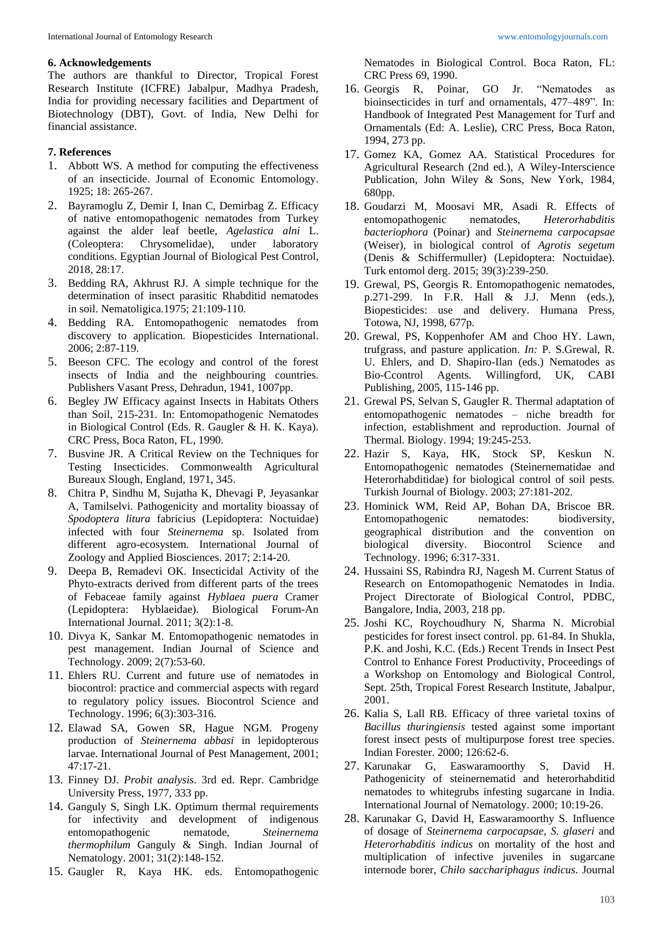### **6. Acknowledgements**

The authors are thankful to Director, Tropical Forest Research Institute (ICFRE) Jabalpur, Madhya Pradesh, India for providing necessary facilities and Department of Biotechnology (DBT), Govt. of India, New Delhi for financial assistance.

# **7. References**

- 1. Abbott WS. A method for computing the effectiveness of an insecticide. Journal of Economic Entomology. 1925; 18: 265-267.
- 2. Bayramoglu Z, Demir I, Inan C, Demirbag Z. Efficacy of native entomopathogenic nematodes from Turkey against the alder leaf beetle, *Agelastica alni* L. (Coleoptera: Chrysomelidae), under laboratory conditions. Egyptian Journal of Biological Pest Control, 2018, 28:17.
- 3. Bedding RA, Akhrust RJ. A simple technique for the determination of insect parasitic Rhabditid nematodes in soil. Nematoligica.1975; 21:109-110.
- 4. Bedding RA. Entomopathogenic nematodes from discovery to application. Biopesticides International. 2006; 2:87-119.
- 5. Beeson CFC. The ecology and control of the forest insects of India and the neighbouring countries. Publishers Vasant Press, Dehradun, 1941, 1007pp.
- 6. Begley JW Efficacy against Insects in Habitats Others than Soil, 215-231. In: Entomopathogenic Nematodes in Biological Control (Eds. R. Gaugler & H. K. Kaya). CRC Press, Boca Raton, FL, 1990.
- 7. Busvine JR. A Critical Review on the Techniques for Testing Insecticides. Commonwealth Agricultural Bureaux Slough, England, 1971, 345.
- 8. Chitra P, Sindhu M, Sujatha K, Dhevagi P, Jeyasankar A, Tamilselvi. Pathogenicity and mortality bioassay of *Spodoptera litura* fabricius (Lepidoptera: Noctuidae) infected with four *Steinernema* sp. Isolated from different agro-ecosystem. International Journal of Zoology and Applied Biosciences. 2017; 2:14-20.
- 9. Deepa B, Remadevi OK. Insecticidal Activity of the Phyto-extracts derived from different parts of the trees of Febaceae family against *Hyblaea puera* Cramer (Lepidoptera: Hyblaeidae). Biological Forum-An International Journal. 2011; 3(2):1-8.
- 10. Divya K, Sankar M. Entomopathogenic nematodes in pest management. Indian Journal of Science and Technology. 2009; 2(7):53-60.
- 11. Ehlers RU. Current and future use of nematodes in biocontrol: practice and commercial aspects with regard to regulatory policy issues. Biocontrol Science and Technology. 1996; 6(3):303-316.
- 12. Elawad SA, Gowen SR, Hague NGM. Progeny production of *Steinernema abbasi* in lepidopterous larvae. International Journal of Pest Management, 2001; 47:17-21.
- 13. Finney DJ. *Probit analysis*. 3rd ed. Repr. Cambridge University Press, 1977, 333 pp.
- 14. Ganguly S, Singh LK. Optimum thermal requirements for infectivity and development of indigenous entomopathogenic nematode, *Steinernema thermophilum* Ganguly & Singh. Indian Journal of Nematology. 2001; 31(2):148-152.
- 15. Gaugler R, Kaya HK. eds. Entomopathogenic

Nematodes in Biological Control. Boca Raton, FL: CRC Press 69, 1990.

- 16. Georgis R, Poinar, GO Jr. "Nematodes as bioinsecticides in turf and ornamentals, 477–489". In: Handbook of Integrated Pest Management for Turf and Ornamentals (Ed: A. Leslie), CRC Press, Boca Raton, 1994, 273 pp.
- 17. Gomez KA, Gomez AA. Statistical Procedures for Agricultural Research (2nd ed.), A Wiley-Interscience Publication, John Wiley & Sons, New York, 1984, 680pp.
- 18. Goudarzi M, Moosavi MR, Asadi R. Effects of entomopathogenic nematodes, *Heterorhabditis bacteriophora* (Poinar) and *Steinernema carpocapsae* (Weiser), in biological control of *Agrotis segetum* (Denis & Schiffermuller) (Lepidoptera: Noctuidae). Turk entomol derg. 2015; 39(3):239-250.
- 19. Grewal, PS, Georgis R. Entomopathogenic nematodes, p.271-299. In F.R. Hall & J.J. Menn (eds.), Biopesticides: use and delivery. Humana Press, Totowa, NJ, 1998, 677p.
- 20. Grewal, PS, Koppenhofer AM and Choo HY. Lawn, trufgrass, and pasture application. *In:* P. S.Grewal, R. U. Ehlers, and D. Shapiro-Ilan (eds.) Nematodes as Bio-Ccontrol Agents. Willingford, UK, CABI Publishing, 2005, 115-146 pp.
- 21. Grewal PS, Selvan S, Gaugler R. Thermal adaptation of entomopathogenic nematodes – niche breadth for infection, establishment and reproduction. Journal of Thermal. Biology. 1994; 19:245-253.
- 22. Hazir S, Kaya, HK, Stock SP, Keskun N. Entomopathogenic nematodes (Steinernematidae and Heterorhabditidae) for biological control of soil pests. Turkish Journal of Biology. 2003; 27:181-202.
- 23. Hominick WM, Reid AP, Bohan DA, Briscoe BR. Entomopathogenic nematodes: biodiversity, geographical distribution and the convention on biological diversity. Biocontrol Science and Technology. 1996; 6:317-331.
- 24. Hussaini SS, Rabindra RJ, Nagesh M. Current Status of Research on Entomopathogenic Nematodes in India. Project Directorate of Biological Control, PDBC, Bangalore, India, 2003, 218 pp.
- 25. Joshi KC, Roychoudhury N, Sharma N. Microbial pesticides for forest insect control. pp. 61-84. In Shukla, P.K. and Joshi, K.C. (Eds.) Recent Trends in Insect Pest Control to Enhance Forest Productivity, Proceedings of a Workshop on Entomology and Biological Control, Sept. 25th, Tropical Forest Research Institute, Jabalpur, 2001.
- 26. Kalia S, Lall RB. Efficacy of three varietal toxins of *Bacillus thuringiensis* tested against some important forest insect pests of multipurpose forest tree species. Indian Forester. 2000; 126:62-6.
- 27. Karunakar G, Easwaramoorthy S, David H. Pathogenicity of steinernematid and heterorhabditid nematodes to whitegrubs infesting sugarcane in India. International Journal of Nematology. 2000; 10:19-26.
- 28. Karunakar G, David H, Easwaramoorthy S. Influence of dosage of *Steinernema carpocapsae*, *S. glaseri* and *Heterorhabditis indicus* on mortality of the host and multiplication of infective juveniles in sugarcane internode borer, *Chilo sacchariphagus indicus*. Journal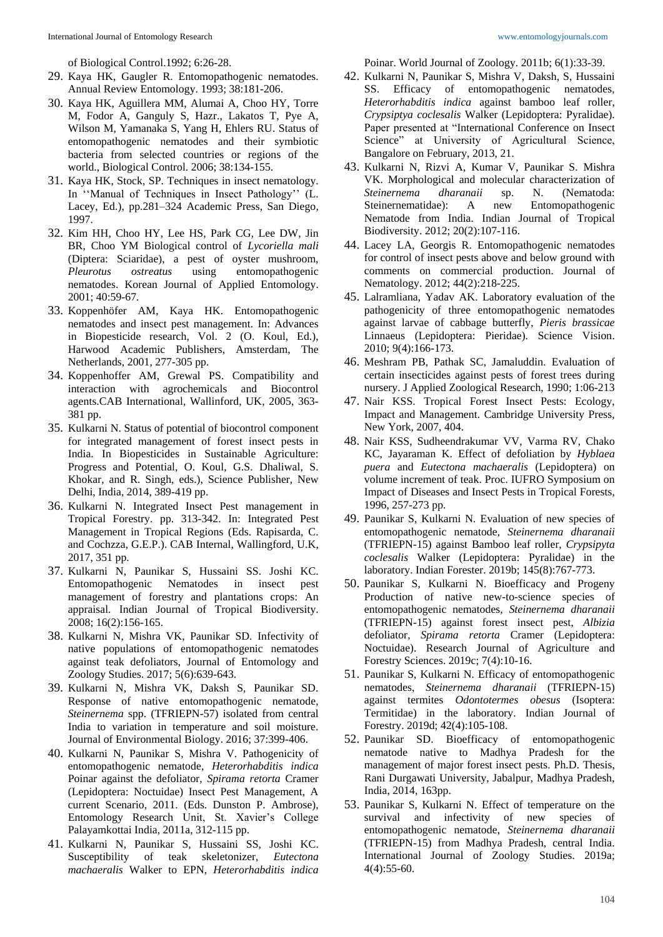of Biological Control.1992; 6:26-28.

- 29. Kaya HK, Gaugler R. Entomopathogenic nematodes. Annual Review Entomology. 1993; 38:181-206.
- 30. Kaya HK, Aguillera MM, Alumai A, Choo HY, Torre M, Fodor A, Ganguly S, Hazr., Lakatos T, Pye A, Wilson M, Yamanaka S, Yang H, Ehlers RU. Status of entomopathogenic nematodes and their symbiotic bacteria from selected countries or regions of the world., Biological Control. 2006; 38:134-155.
- 31. Kaya HK, Stock, SP. Techniques in insect nematology. In ''Manual of Techniques in Insect Pathology'' (L. Lacey, Ed.), pp.281–324 Academic Press, San Diego, 1997.
- 32. Kim HH, Choo HY, Lee HS, Park CG, Lee DW, Jin BR, Choo YM Biological control of *Lycoriella mali* (Diptera: Sciaridae), a pest of oyster mushroom, *Pleurotus ostreatus* using entomopathogenic nematodes. Korean Journal of Applied Entomology. 2001; 40:59-67.
- 33. Koppenhöfer AM, Kaya HK. Entomopathogenic nematodes and insect pest management. In: Advances in Biopesticide research, Vol. 2 (O. Koul, Ed.), Harwood Academic Publishers, Amsterdam, The Netherlands, 2001, 277-305 pp.
- 34. Koppenhoffer AM, Grewal PS. Compatibility and interaction with agrochemicals and Biocontrol agents.CAB International, Wallinford, UK, 2005, 363- 381 pp.
- 35. Kulkarni N. Status of potential of biocontrol component for integrated management of forest insect pests in India. In Biopesticides in Sustainable Agriculture: Progress and Potential, O. Koul, G.S. Dhaliwal, S. Khokar, and R. Singh, eds.), Science Publisher, New Delhi, India, 2014, 389-419 pp.
- 36. Kulkarni N. Integrated Insect Pest management in Tropical Forestry. pp. 313-342. In: Integrated Pest Management in Tropical Regions (Eds. Rapisarda, C. and Cochzza, G.E.P.). CAB Internal, Wallingford, U.K, 2017, 351 pp.
- 37. Kulkarni N, Paunikar S, Hussaini SS. Joshi KC. Entomopathogenic Nematodes in insect pest management of forestry and plantations crops: An appraisal. Indian Journal of Tropical Biodiversity. 2008; 16(2):156-165.
- 38. Kulkarni N, Mishra VK, Paunikar SD. Infectivity of native populations of entomopathogenic nematodes against teak defoliators, Journal of Entomology and Zoology Studies. 2017; 5(6):639-643.
- 39. Kulkarni N, Mishra VK, Daksh S, Paunikar SD. Response of native entomopathogenic nematode, *Steinernema* spp. (TFRIEPN-57) isolated from central India to variation in temperature and soil moisture. Journal of Environmental Biology. 2016; 37:399-406.
- 40. Kulkarni N, Paunikar S, Mishra V. Pathogenicity of entomopathogenic nematode, *Heterorhabditis indica* Poinar against the defoliator, *Spirama retorta* Cramer (Lepidoptera: Noctuidae) Insect Pest Management, A current Scenario, 2011. (Eds. Dunston P. Ambrose), Entomology Research Unit, St. Xavier's College Palayamkottai India, 2011a, 312-115 pp.
- 41. Kulkarni N, Paunikar S, Hussaini SS, Joshi KC. Susceptibility of teak skeletonizer, *Eutectona machaeralis* Walker to EPN, *Heterorhabditis indica*

Poinar. World Journal of Zoology. 2011b; 6(1):33-39.

- 42. Kulkarni N, Paunikar S, Mishra V, Daksh, S, Hussaini SS. Efficacy of entomopathogenic nematodes, *Heterorhabditis indica* against bamboo leaf roller, *Crypsiptya coclesalis* Walker (Lepidoptera: Pyralidae). Paper presented at "International Conference on Insect Science" at University of Agricultural Science, Bangalore on February, 2013, 21.
- 43. Kulkarni N, Rizvi A, Kumar V, Paunikar S. Mishra VK. Morphological and molecular characterization of *Steinernema dharanaii* sp. N. (Nematoda: Steinernematidae): A new Entomopathogenic Nematode from India. Indian Journal of Tropical Biodiversity. 2012; 20(2):107-116.
- 44. Lacey LA, Georgis R. Entomopathogenic nematodes for control of insect pests above and below ground with comments on commercial production. Journal of Nematology. 2012; 44(2):218-225.
- 45. Lalramliana, Yadav AK. Laboratory evaluation of the pathogenicity of three entomopathogenic nematodes against larvae of cabbage butterfly, *Pieris brassicae*  Linnaeus (Lepidoptera: Pieridae). Science Vision. 2010; 9(4):166-173.
- 46. Meshram PB, Pathak SC, Jamaluddin. Evaluation of certain insecticides against pests of forest trees during nursery. J Applied Zoological Research, 1990; 1:06-213
- 47. Nair KSS. Tropical Forest Insect Pests: Ecology, Impact and Management. Cambridge University Press, New York, 2007, 404.
- 48. Nair KSS, Sudheendrakumar VV, Varma RV, Chako KC, Jayaraman K. Effect of defoliation by *Hyblaea puera* and *Eutectona machaeralis* (Lepidoptera) on volume increment of teak. Proc. IUFRO Symposium on Impact of Diseases and Insect Pests in Tropical Forests, 1996, 257-273 pp.
- 49. Paunikar S, Kulkarni N. Evaluation of new species of entomopathogenic nematode, *Steinernema dharanaii* (TFRIEPN-15) against Bamboo leaf roller, *Crypsipyta coclesalis* Walker (Lepidoptera: Pyralidae) in the laboratory. Indian Forester. 2019b; 145(8):767-773.
- 50. Paunikar S, Kulkarni N. Bioefficacy and Progeny Production of native new-to-science species of entomopathogenic nematodes, *Steinernema dharanaii* (TFRIEPN-15) against forest insect pest, *Albizia* defoliator, *Spirama retorta* Cramer (Lepidoptera: Noctuidae). Research Journal of Agriculture and Forestry Sciences. 2019c; 7(4):10-16.
- 51. Paunikar S, Kulkarni N. Efficacy of entomopathogenic nematodes, *Steinernema dharanaii* (TFRIEPN-15) against termites *Odontotermes obesus* (Isoptera: Termitidae) in the laboratory. Indian Journal of Forestry. 2019d; 42(4):105-108.
- 52. Paunikar SD. Bioefficacy of entomopathogenic nematode native to Madhya Pradesh for the management of major forest insect pests. Ph.D. Thesis, Rani Durgawati University, Jabalpur, Madhya Pradesh, India, 2014, 163pp.
- 53. Paunikar S, Kulkarni N. Effect of temperature on the survival and infectivity of new species of entomopathogenic nematode, *Steinernema dharanaii* (TFRIEPN-15) from Madhya Pradesh, central India. International Journal of Zoology Studies. 2019a; 4(4):55-60.